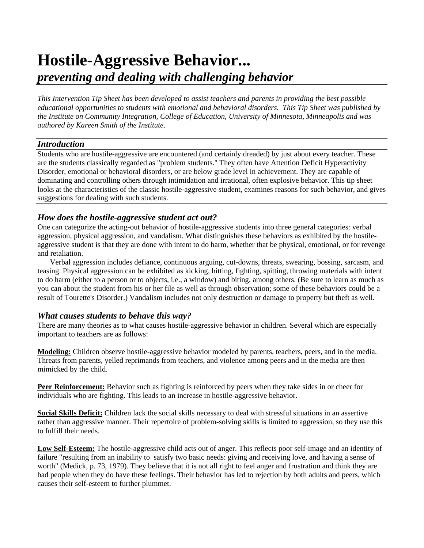# **Hostile-Aggressive Behavior...** *preventing and dealing with challenging behavior*

*This Intervention Tip Sheet has been developed to assist teachers and parents in providing the best possible educational opportunities to students with emotional and behavioral disorders. This Tip Sheet was published by the Institute on Community Integration, College of Education, University of Minnesota, Minneapolis and was authored by Kareen Smith of the Institute*.

# *Introduction*

Students who are hostile-aggressive are encountered (and certainly dreaded) by just about every teacher. These are the students classically regarded as "problem students." They often have Attention Deficit Hyperactivity Disorder, emotional or behavioral disorders, or are below grade level in achievement. They are capable of dominating and controlling others through intimidation and irrational, often explosive behavior. This tip sheet looks at the characteristics of the classic hostile-aggressive student, examines reasons for such behavior, and gives suggestions for dealing with such students.

# *How does the hostile-aggressive student act out?*

One can categorize the acting-out behavior of hostile-aggressive students into three general categories: verbal aggression, physical aggression, and vandalism. What distinguishes these behaviors as exhibited by the hostileaggressive student is that they are done with intent to do harm, whether that be physical, emotional, or for revenge and retaliation.

Verbal aggression includes defiance, continuous arguing, cut-downs, threats, swearing, bossing, sarcasm, and teasing. Physical aggression can be exhibited as kicking, hitting, fighting, spitting, throwing materials with intent to do harm (either to a person or to objects, i.e., a window) and biting, among others. (Be sure to learn as much as you can about the student from his or her file as well as through observation; some of these behaviors could be a result of Tourette's Disorder.) Vandalism includes not only destruction or damage to property but theft as well.

# *What causes students to behave this way?*

There are many theories as to what causes hostile-aggressive behavior in children. Several which are especially important to teachers are as follows:

**Modeling:** Children observe hostile-aggressive behavior modeled by parents, teachers, peers, and in the media. Threats from parents, yelled reprimands from teachers, and violence among peers and in the media are then mimicked by the child.

**Peer Reinforcement:** Behavior such as fighting is reinforced by peers when they take sides in or cheer for individuals who are fighting. This leads to an increase in hostile-aggressive behavior.

**Social Skills Deficit:** Children lack the social skills necessary to deal with stressful situations in an assertive rather than aggressive manner. Their repertoire of problem-solving skills is limited to aggression, so they use this to fulfill their needs.

**Low Self-Esteem:** The hostile-aggressive child acts out of anger. This reflects poor self-image and an identity of failure "resulting from an inability to satisfy two basic needs: giving and receiving love, and having a sense of worth" (Medick, p. 73, 1979). They believe that it is not all right to feel anger and frustration and think they are bad people when they do have these feelings. Their behavior has led to rejection by both adults and peers, which causes their self-esteem to further plummet.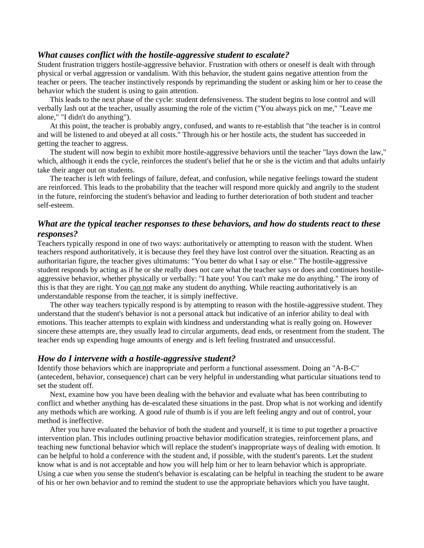### *What causes conflict with the hostile-aggressive student to escalate?*

Student frustration triggers hostile-aggressive behavior. Frustration with others or oneself is dealt with through physical or verbal aggression or vandalism. With this behavior, the student gains negative attention from the teacher or peers. The teacher instinctively responds by reprimanding the student or asking him or her to cease the behavior which the student is using to gain attention.

This leads to the next phase of the cycle: student defensiveness. The student begins to lose control and will verbally lash out at the teacher, usually assuming the role of the victim ("You always pick on me," "Leave me alone," "I didn't do anything").

At this point, the teacher is probably angry, confused, and wants to re-establish that "the teacher is in control and will be listened to and obeyed at all costs." Through his or her hostile acts, the student has succeeded in getting the teacher to aggress.

The student will now begin to exhibit more hostile-aggressive behaviors until the teacher "lays down the law," which, although it ends the cycle, reinforces the student's belief that he or she is the victim and that adults unfairly take their anger out on students.

The teacher is left with feelings of failure, defeat, and confusion, while negative feelings toward the student are reinforced. This leads to the probability that the teacher will respond more quickly and angrily to the student in the future, reinforcing the student's behavior and leading to further deterioration of both student and teacher self-esteem.

# *What are the typical teacher responses to these behaviors, and how do students react to these responses?*

Teachers typically respond in one of two ways: authoritatively or attempting to reason with the student. When teachers respond authoritatively, it is because they feel they have lost control over the situation. Reacting as an authoritarian figure, the teacher gives ultimatums: "You better do what I say or else." The hostile-aggressive student responds by acting as if he or she really does not care what the teacher says or does and continues hostileaggressive behavior, whether physically or verbally: "I hate you! You can't make me do anything." The irony of this is that they are right. You can not make any student do anything. While reacting authoritatively is an understandable response from the teacher, it is simply ineffective.

The other way teachers typically respond is by attempting to reason with the hostile-aggressive student. They understand that the student's behavior is not a personal attack but indicative of an inferior ability to deal with emotions. This teacher attempts to explain with kindness and understanding what is really going on. However sincere these attempts are, they usually lead to circular arguments, dead ends, or resentment from the student. The teacher ends up expending huge amounts of energy and is left feeling frustrated and unsuccessful.

#### *How do I intervene with a hostile-aggressive student?*

Identify those behaviors which are inappropriate and perform a functional assessment. Doing an "A-B-C" (antecedent, behavior, consequence) chart can be very helpful in understanding what particular situations tend to set the student off.

Next, examine how you have been dealing with the behavior and evaluate what has been contributing to conflict and whether anything has de-escalated these situations in the past. Drop what is not working and identify any methods which are working. A good rule of thumb is if you are left feeling angry and out of control, your method is ineffective.

After you have evaluated the behavior of both the student and yourself, it is time to put together a proactive intervention plan. This includes outlining proactive behavior modification strategies, reinforcement plans, and teaching new functional behavior which will replace the student's inappropriate ways of dealing with emotion. It can be helpful to hold a conference with the student and, if possible, with the student's parents. Let the student know what is and is not acceptable and how you will help him or her to learn behavior which is appropriate. Using a cue when you sense the student's behavior is escalating can be helpful in teaching the student to be aware of his or her own behavior and to remind the student to use the appropriate behaviors which you have taught.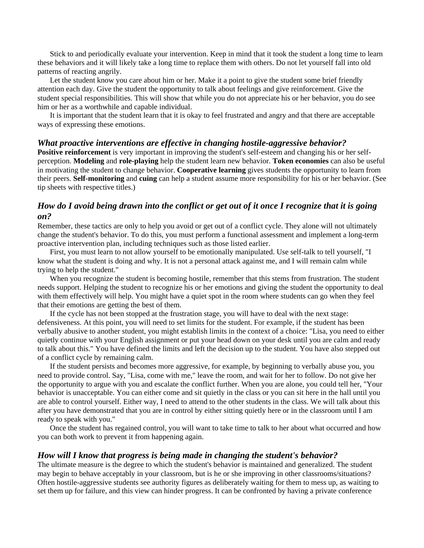Stick to and periodically evaluate your intervention. Keep in mind that it took the student a long time to learn these behaviors and it will likely take a long time to replace them with others. Do not let yourself fall into old patterns of reacting angrily.

Let the student know you care about him or her. Make it a point to give the student some brief friendly attention each day. Give the student the opportunity to talk about feelings and give reinforcement. Give the student special responsibilities. This will show that while you do not appreciate his or her behavior, you do see him or her as a worthwhile and capable individual.

It is important that the student learn that it is okay to feel frustrated and angry and that there are acceptable ways of expressing these emotions.

#### *What proactive interventions are effective in changing hostile-aggressive behavior?*

**Positive reinforcement** is very important in improving the student's self-esteem and changing his or her selfperception. **Modeling** and **role-playing** help the student learn new behavior. **Token economies** can also be useful in motivating the student to change behavior. **Cooperative learning** gives students the opportunity to learn from their peers. **Self-monitoring** and **cuing** can help a student assume more responsibility for his or her behavior. (See tip sheets with respective titles.)

# *How do I avoid being drawn into the conflict or get out of it once I recognize that it is going on?*

Remember, these tactics are only to help you avoid or get out of a conflict cycle. They alone will not ultimately change the student's behavior. To do this, you must perform a functional assessment and implement a long-term proactive intervention plan, including techniques such as those listed earlier.

First, you must learn to not allow yourself to be emotionally manipulated. Use self-talk to tell yourself, "I know what the student is doing and why. It is not a personal attack against me, and I will remain calm while trying to help the student."

When you recognize the student is becoming hostile, remember that this stems from frustration. The student needs support. Helping the student to recognize his or her emotions and giving the student the opportunity to deal with them effectively will help. You might have a quiet spot in the room where students can go when they feel that their emotions are getting the best of them.

If the cycle has not been stopped at the frustration stage, you will have to deal with the next stage: defensiveness. At this point, you will need to set limits for the student. For example, if the student has been verbally abusive to another student, you might establish limits in the context of a choice: "Lisa, you need to either quietly continue with your English assignment or put your head down on your desk until you are calm and ready to talk about this." You have defined the limits and left the decision up to the student. You have also stepped out of a conflict cycle by remaining calm.

If the student persists and becomes more aggressive, for example, by beginning to verbally abuse you, you need to provide control. Say, "Lisa, come with me," leave the room, and wait for her to follow. Do not give her the opportunity to argue with you and escalate the conflict further. When you are alone, you could tell her, "Your behavior is unacceptable. You can either come and sit quietly in the class or you can sit here in the hall until you are able to control yourself. Either way, I need to attend to the other students in the class. We will talk about this after you have demonstrated that you are in control by either sitting quietly here or in the classroom until I am ready to speak with you."

Once the student has regained control, you will want to take time to talk to her about what occurred and how you can both work to prevent it from happening again.

#### *How will I know that progress is being made in changing the student's behavior?*

The ultimate measure is the degree to which the student's behavior is maintained and generalized. The student may begin to behave acceptably in your classroom, but is he or she improving in other classrooms/situations? Often hostile-aggressive students see authority figures as deliberately waiting for them to mess up, as waiting to set them up for failure, and this view can hinder progress. It can be confronted by having a private conference